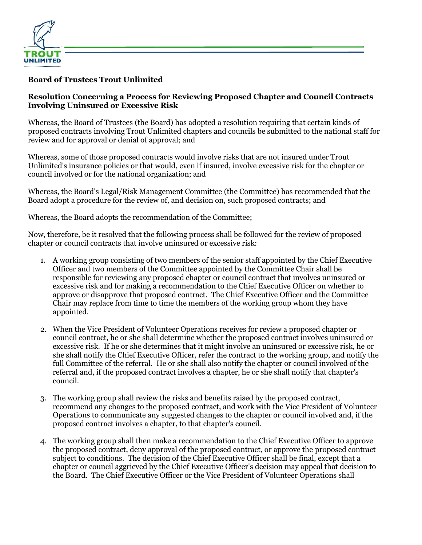

## **Board of Trustees Trout Unlimited**

## **Resolution Concerning a Process for Reviewing Proposed Chapter and Council Contracts Involving Uninsured or Excessive Risk**

Whereas, the Board of Trustees (the Board) has adopted a resolution requiring that certain kinds of proposed contracts involving Trout Unlimited chapters and councils be submitted to the national staff for review and for approval or denial of approval; and

Whereas, some of those proposed contracts would involve risks that are not insured under Trout Unlimited's insurance policies or that would, even if insured, involve excessive risk for the chapter or council involved or for the national organization; and

Whereas, the Board's Legal/Risk Management Committee (the Committee) has recommended that the Board adopt a procedure for the review of, and decision on, such proposed contracts; and

Whereas, the Board adopts the recommendation of the Committee;

Now, therefore, be it resolved that the following process shall be followed for the review of proposed chapter or council contracts that involve uninsured or excessive risk:

- 1. A working group consisting of two members of the senior staff appointed by the Chief Executive Officer and two members of the Committee appointed by the Committee Chair shall be responsible for reviewing any proposed chapter or council contract that involves uninsured or excessive risk and for making a recommendation to the Chief Executive Officer on whether to approve or disapprove that proposed contract. The Chief Executive Officer and the Committee Chair may replace from time to time the members of the working group whom they have appointed.
- 2. When the Vice President of Volunteer Operations receives for review a proposed chapter or council contract, he or she shall determine whether the proposed contract involves uninsured or excessive risk. If he or she determines that it might involve an uninsured or excessive risk, he or she shall notify the Chief Executive Officer, refer the contract to the working group, and notify the full Committee of the referral. He or she shall also notify the chapter or council involved of the referral and, if the proposed contract involves a chapter, he or she shall notify that chapter's council.
- 3. The working group shall review the risks and benefits raised by the proposed contract, recommend any changes to the proposed contract, and work with the Vice President of Volunteer Operations to communicate any suggested changes to the chapter or council involved and, if the proposed contract involves a chapter, to that chapter's council.
- 4. The working group shall then make a recommendation to the Chief Executive Officer to approve the proposed contract, deny approval of the proposed contract, or approve the proposed contract subject to conditions. The decision of the Chief Executive Officer shall be final, except that a chapter or council aggrieved by the Chief Executive Officer's decision may appeal that decision to the Board. The Chief Executive Officer or the Vice President of Volunteer Operations shall